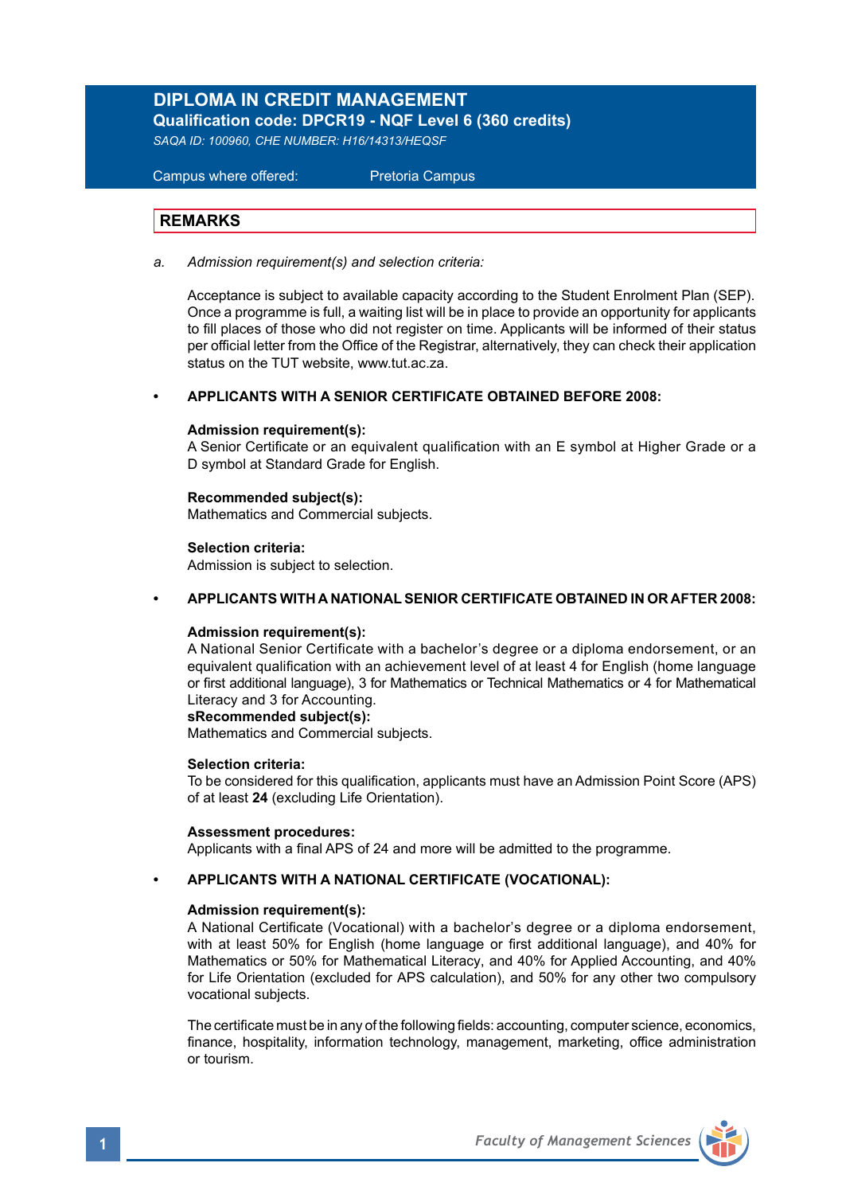# **DIPLOMA IN CREDIT MANAGEMENT**

**Qualification code: DPCR19 - NQF Level 6 (360 credits)** 

*SAQA ID: 100960, CHE NUMBER: H16/14313/HEQSF* 

 Campus where offered: Pretoria Campus

## **REMARKS**

*a. Admission requirement(s) and selection criteria:*

Acceptance is subject to available capacity according to the Student Enrolment Plan (SEP). Once a programme is full, a waiting list will be in place to provide an opportunity for applicants to fill places of those who did not register on time. Applicants will be informed of their status per official letter from the Office of the Registrar, alternatively, they can check their application status on the TUT website, www.tut.ac.za.

### **• APPLICANTS WITH A SENIOR CERTIFICATE OBTAINED BEFORE 2008:**

#### **Admission requirement(s):**

A Senior Certificate or an equivalent qualification with an E symbol at Higher Grade or a D symbol at Standard Grade for English.

#### **Recommended subject(s):**

Mathematics and Commercial subjects.

#### **Selection criteria:**

Admission is subject to selection.

#### **• APPLICANTS WITH A NATIONAL SENIOR CERTIFICATE OBTAINED IN OR AFTER 2008:**

#### **Admission requirement(s):**

A National Senior Certificate with a bachelor's degree or a diploma endorsement, or an equivalent qualification with an achievement level of at least 4 for English (home language or first additional language), 3 for Mathematics or Technical Mathematics or 4 for Mathematical Literacy and 3 for Accounting.

#### **sRecommended subject(s):**

Mathematics and Commercial subjects.

#### **Selection criteria:**

To be considered for this qualification, applicants must have an Admission Point Score (APS) of at least **24** (excluding Life Orientation).

#### **Assessment procedures:**

Applicants with a final APS of 24 and more will be admitted to the programme.

#### **• APPLICANTS WITH A NATIONAL CERTIFICATE (VOCATIONAL):**

#### **Admission requirement(s):**

A National Certificate (Vocational) with a bachelor's degree or a diploma endorsement, with at least 50% for English (home language or first additional language), and 40% for Mathematics or 50% for Mathematical Literacy, and 40% for Applied Accounting, and 40% for Life Orientation (excluded for APS calculation), and 50% for any other two compulsory vocational subjects.

The certificate must be in any of the following fields: accounting, computer science, economics, finance, hospitality, information technology, management, marketing, office administration or tourism.

**1** *Faculty of Management Sciences*

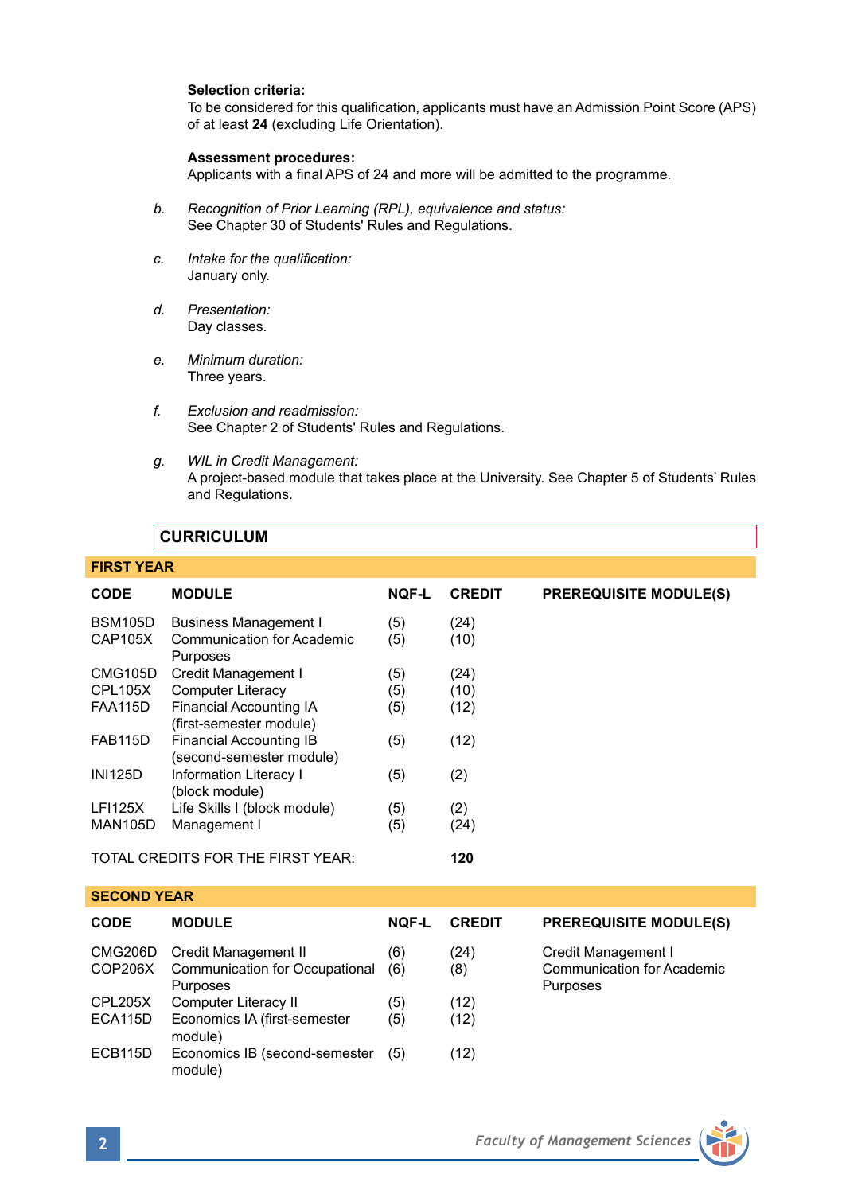### **Selection criteria:**

To be considered for this qualification, applicants must have an Admission Point Score (APS) of at least **24** (excluding Life Orientation).

#### **Assessment procedures:**

Applicants with a final APS of 24 and more will be admitted to the programme.

- *b. Recognition of Prior Learning (RPL), equivalence and status:* See Chapter 30 of Students' Rules and Regulations.
- *c. Intake for the qualification:* January only.
- *d. Presentation:* Day classes.
- *e. Minimum duration:* Three years.
- *f. Exclusion and readmission:* See Chapter 2 of Students' Rules and Regulations.
- *g. WIL in Credit Management:* A project-based module that takes place at the University. See Chapter 5 of Students' Rules and Regulations.

### **CURRICULUM**

## **FIRST YEAR**

| <b>CODE</b>                              | <b>MODULE</b>                                              | <b>NOF-L</b> | <b>CREDIT</b> | <b>PREREQUISITE MODULE(S)</b>                 |  |
|------------------------------------------|------------------------------------------------------------|--------------|---------------|-----------------------------------------------|--|
| <b>BSM105D</b>                           | <b>Business Management I</b>                               | (5)          | (24)          |                                               |  |
| <b>CAP105X</b>                           | Communication for Academic<br>Purposes                     | (5)          | (10)          |                                               |  |
| CMG105D                                  | Credit Management I                                        | (5)          | (24)          |                                               |  |
| CPL105X                                  | <b>Computer Literacy</b>                                   | (5)          | (10)          |                                               |  |
| <b>FAA115D</b>                           | Financial Accounting IA<br>(first-semester module)         | (5)          | (12)          |                                               |  |
| <b>FAB115D</b>                           | <b>Financial Accounting IB</b><br>(second-semester module) | (5)          | (12)          |                                               |  |
| <b>INI125D</b>                           | <b>Information Literacy I</b><br>(block module)            | (5)          | (2)           |                                               |  |
| <b>LFI125X</b>                           | Life Skills I (block module)                               | (5)          | (2)           |                                               |  |
| <b>MAN105D</b>                           | Management I                                               | (5)          | (24)          |                                               |  |
| TOTAL CREDITS FOR THE FIRST YEAR:<br>120 |                                                            |              |               |                                               |  |
| <b>SECOND YEAR</b>                       |                                                            |              |               |                                               |  |
| <b>CODE</b>                              | <b>MODULE</b>                                              | <b>NOF-L</b> | <b>CREDIT</b> | <b>PREREQUISITE MODULE(S)</b>                 |  |
| CMG206D                                  | Credit Management II                                       | (6)          | (24)          | Credit Management I                           |  |
| COP206X                                  | Communication for Occupational<br>Purposes                 | (6)          | (8)           | <b>Communication for Academic</b><br>Purposes |  |
| CPL205X                                  | Computer Literacy II                                       | (5)          | (12)          |                                               |  |
| ECA115D                                  | Economics IA (first-semester<br>module)                    | (5)          | (12)          |                                               |  |
| <b>ECB115D</b>                           | Economics IB (second-semester                              | (5)          | (12)          |                                               |  |



module)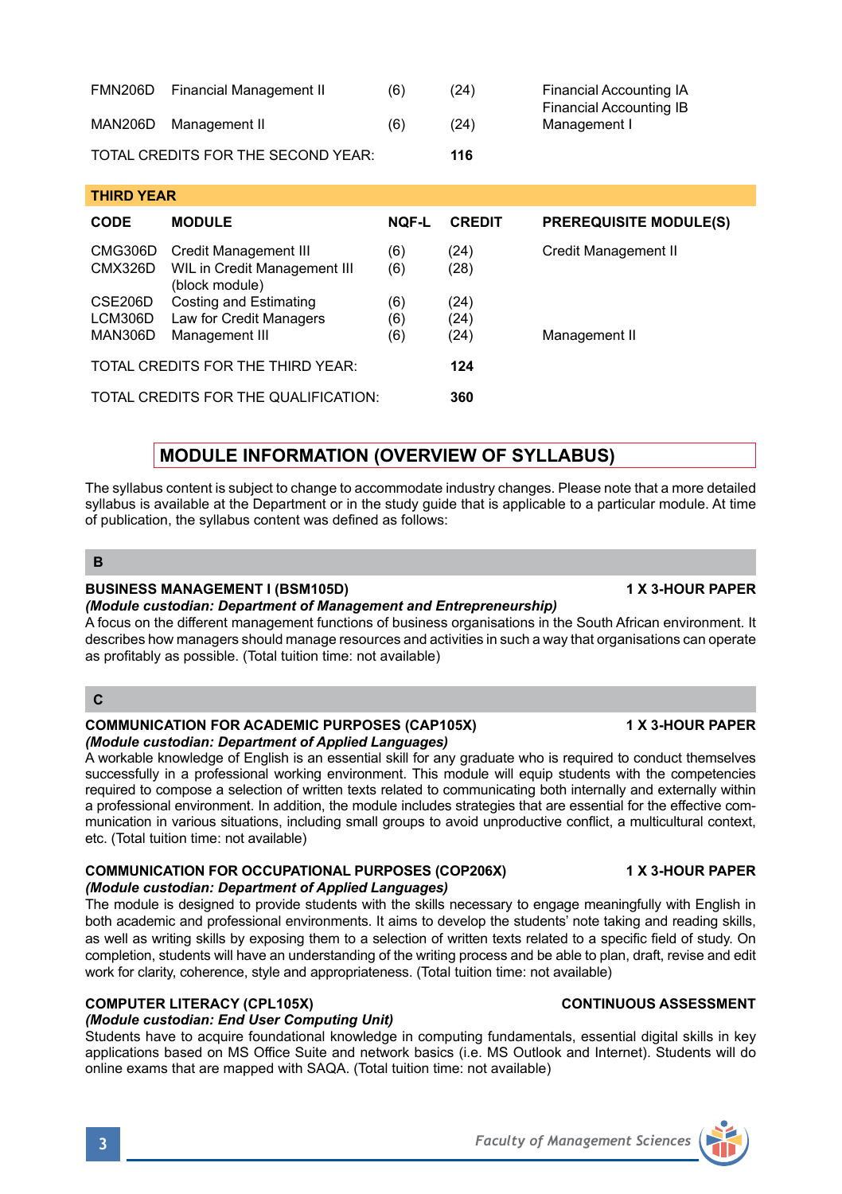| (Module custodian: Department of Applied Languages)                                                                                                                                                                                                                                                                                                                                                                                                                                                                                                                      |                       |
|--------------------------------------------------------------------------------------------------------------------------------------------------------------------------------------------------------------------------------------------------------------------------------------------------------------------------------------------------------------------------------------------------------------------------------------------------------------------------------------------------------------------------------------------------------------------------|-----------------------|
| The module is designed to provide students with the skills necessary to engage meaningfully with English in<br>both academic and professional environments. It aims to develop the students' note taking and reading skills,<br>as well as writing skills by exposing them to a selection of written texts related to a specific field of study. On<br>completion, students will have an understanding of the writing process and be able to plan, draft, revise and edit<br>work for clarity, coherence, style and appropriateness. (Total tuition time: not available) |                       |
| COMPLITED LITERACY (CDI 105Y)                                                                                                                                                                                                                                                                                                                                                                                                                                                                                                                                            | CONTINUOUS ASSESSMENT |

### **COMPUTER LITERACY (CPL1**

#### *(Module custodian: End User Computing Unit)*

Students have to acquire foundational knowledge in computing fundamentals, essential digital skills in key applications based on MS Office Suite and network basics (i.e. MS Outlook and Internet). Students will do online exams that are mapped with SAQA. (Total tuition time: not available)

# **MODULE INFORMATION (OVERVIEW OF SYLLABUS)**

FMN206D Financial Management II (6) (24) Financial Accounting IA

**CODE MODULE NQF-L CREDIT PREREQUISITE MODULE(S)**

CMG306D Credit Management III (6) (24) Credit Management II<br>CMX326D WIL in Credit Management III (6) (28)

MAN306D Management III (6) (24) Management II

 $MAN206D$  Management II (6) (24) TOTAL CREDITS FOR THE SECOND YEAR: **116**

CSE206D Costing and Estimating (6) (24)<br>LCM306D Law for Credit Managers (6) (24)

TOTAL CREDITS FOR THE THIRD YEAR: **124** TOTAL CREDITS FOR THE QUALIFICATION: **360**

Law for Credit Managers (6) (24)<br>Management III (6) (24)

CMX326D WIL in Credit Management III (6) (block module)

The syllabus content is subject to change to accommodate industry changes. Please note that a more detailed syllabus is available at the Department or in the study guide that is applicable to a particular module. At time of publication, the syllabus content was defined as follows:

#### **B**

**THIRD YEAR** 

## **BUSINESS MANAGEMENT I (BSM105D) 1 X 3-HOUR PAPER**

## *(Module custodian: Department of Management and Entrepreneurship)*

A focus on the different management functions of business organisations in the South African environment. It describes how managers should manage resources and activities in such a way that organisations can operate as profitably as possible. (Total tuition time: not available)

## **C**

#### **COMMUNICATION FOR ACADEMIC PURPOSES (CAP105X) 1 X 3-HOUR PAPER** *(Module custodian: Department of Applied Languages)*

A workable knowledge of English is an essential skill for any graduate who is required to conduct themselves successfully in a professional working environment. This module will equip students with the competencies required to compose a selection of written texts related to communicating both internally and externally within a professional environment. In addition, the module includes strategies that are essential for the effective communication in various situations, including small groups to avoid unproductive conflict, a multicultural context, etc. (Total tuition time: not available)

## *(Module custodian: Department of Applied Languages)*

**COMMUNICATION FOR OCCUPATIONAL PURPOSES (COP206X) 1 X 3-HOUR PAPER**

Financial Accounting IB



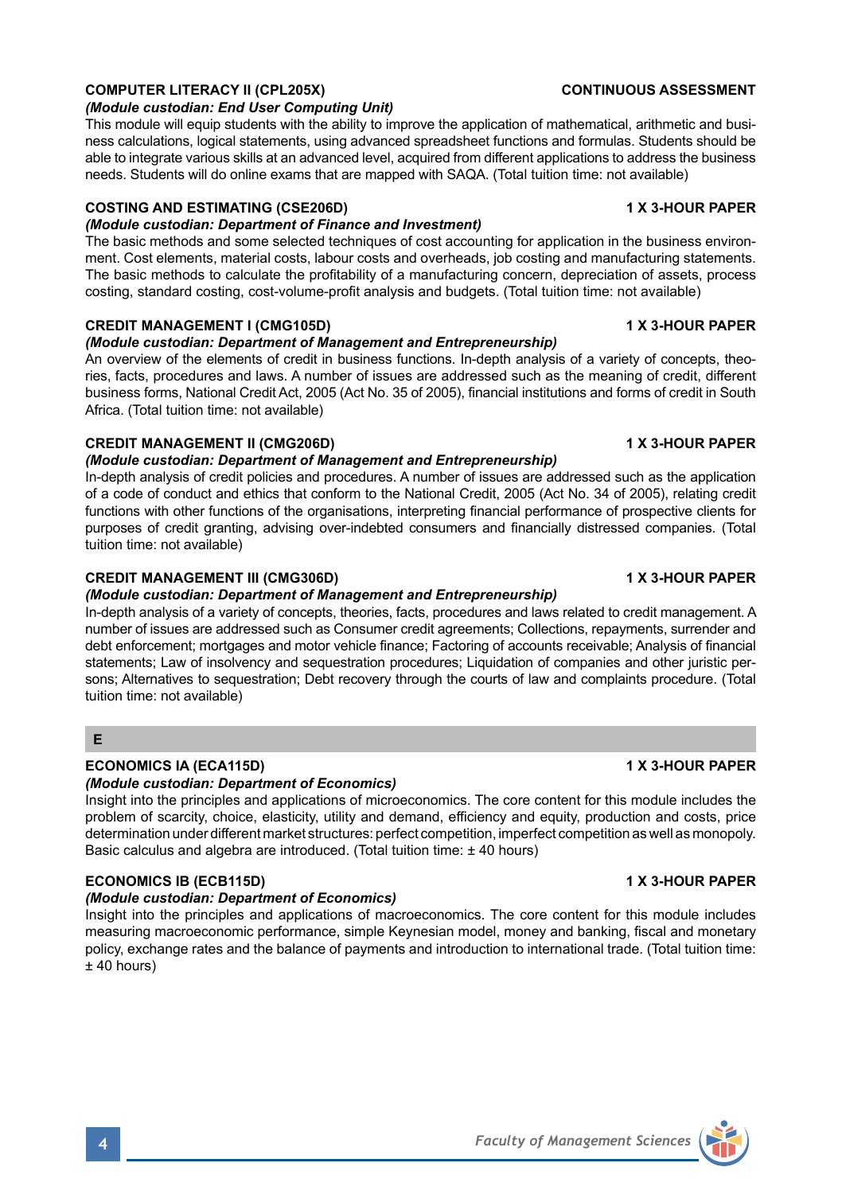### **COMPUTER LITERACY II (CPL205X)** COMPUTER LITERACY II (CPL205X)

#### *(Module custodian: End User Computing Unit)*

This module will equip students with the ability to improve the application of mathematical, arithmetic and business calculations, logical statements, using advanced spreadsheet functions and formulas. Students should be able to integrate various skills at an advanced level, acquired from different applications to address the business needs. Students will do online exams that are mapped with SAQA. (Total tuition time: not available)

### **COSTING AND ESTIMATING (CSE206D) 1 X 3-HOUR PAPER**

#### *(Module custodian: Department of Finance and Investment)*

The basic methods and some selected techniques of cost accounting for application in the business environment. Cost elements, material costs, labour costs and overheads, job costing and manufacturing statements. The basic methods to calculate the profitability of a manufacturing concern, depreciation of assets, process costing, standard costing, cost-volume-profit analysis and budgets. (Total tuition time: not available)

#### **CREDIT MANAGEMENT I (CMG105D) 1 X 3-HOUR PAPER**

#### *(Module custodian: Department of Management and Entrepreneurship)*

An overview of the elements of credit in business functions. In-depth analysis of a variety of concepts, theories, facts, procedures and laws. A number of issues are addressed such as the meaning of credit, different business forms, National Credit Act, 2005 (Act No. 35 of 2005), financial institutions and forms of credit in South Africa. (Total tuition time: not available)

#### **CREDIT MANAGEMENT II (CMG206D) 1 X 3-HOUR PAPER**

#### *(Module custodian: Department of Management and Entrepreneurship)*

In-depth analysis of credit policies and procedures. A number of issues are addressed such as the application of a code of conduct and ethics that conform to the National Credit, 2005 (Act No. 34 of 2005), relating credit functions with other functions of the organisations, interpreting financial performance of prospective clients for purposes of credit granting, advising over-indebted consumers and financially distressed companies. (Total tuition time: not available)

### **CREDIT MANAGEMENT III (CMG306D)** 1 X 3-HOUR PAPER

#### *(Module custodian: Department of Management and Entrepreneurship)*

In-depth analysis of a variety of concepts, theories, facts, procedures and laws related to credit management. A number of issues are addressed such as Consumer credit agreements; Collections, repayments, surrender and debt enforcement; mortgages and motor vehicle finance; Factoring of accounts receivable; Analysis of financial statements; Law of insolvency and sequestration procedures; Liquidation of companies and other juristic persons; Alternatives to sequestration; Debt recovery through the courts of law and complaints procedure. (Total tuition time: not available)

### **E**

## **ECONOMICS IA (ECA115D) 1 X 3-HOUR PAPER**

#### *(Module custodian: Department of Economics)*

Insight into the principles and applications of microeconomics. The core content for this module includes the problem of scarcity, choice, elasticity, utility and demand, efficiency and equity, production and costs, price determination under different market structures: perfect competition, imperfect competition as well as monopoly. Basic calculus and algebra are introduced. (Total tuition time: ± 40 hours)

## **ECONOMICS IB (ECB115D) 1 X 3-HOUR PAPER**

#### *(Module custodian: Department of Economics)*

Insight into the principles and applications of macroeconomics. The core content for this module includes measuring macroeconomic performance, simple Keynesian model, money and banking, fiscal and monetary policy, exchange rates and the balance of payments and introduction to international trade. (Total tuition time:  $±$  40 hours)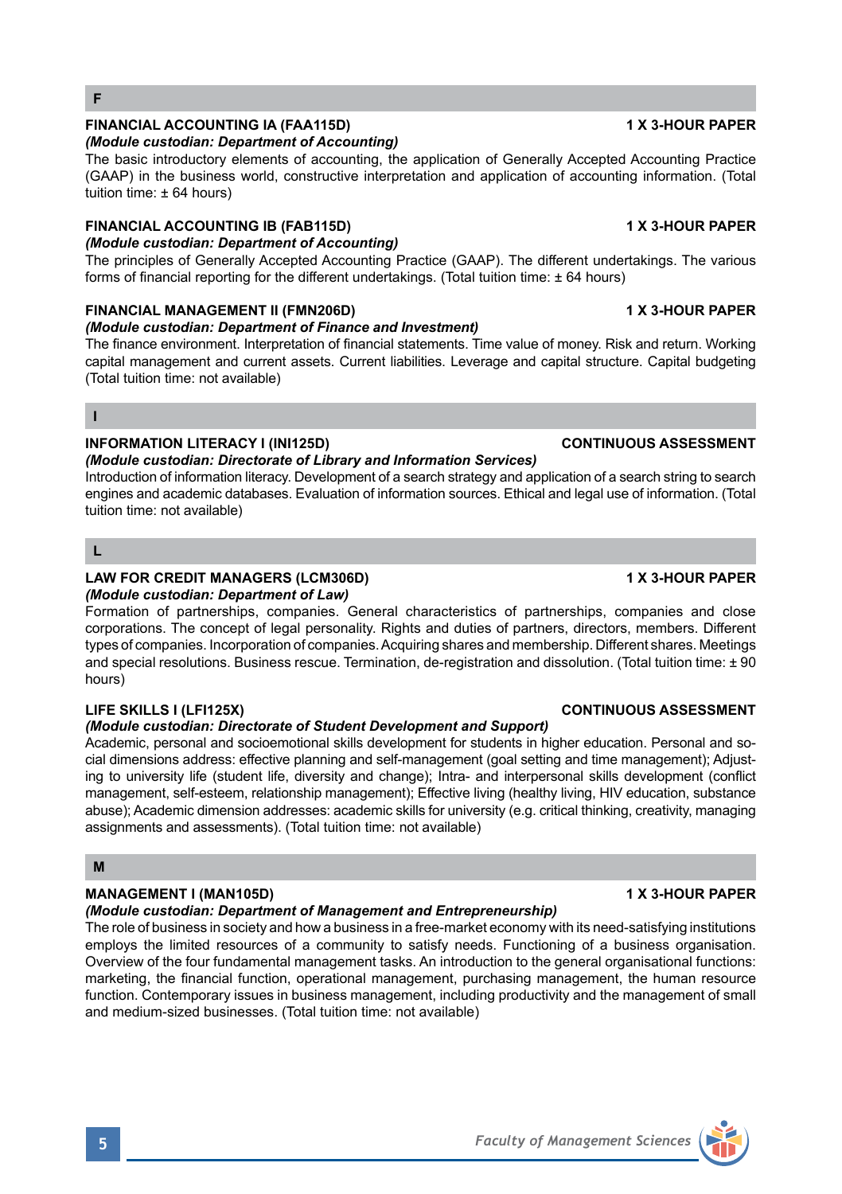

## **FINANCIAL ACCOUNTING IA (FAA115D) 1 X 3-HOUR PAPER**

### *(Module custodian: Department of Accounting)*

The basic introductory elements of accounting, the application of Generally Accepted Accounting Practice (GAAP) in the business world, constructive interpretation and application of accounting information. (Total tuition time: ± 64 hours)

## **FINANCIAL ACCOUNTING IB (FAB115D) 1 X 3-HOUR PAPER**

*(Module custodian: Department of Accounting)* The principles of Generally Accepted Accounting Practice (GAAP). The different undertakings. The various forms of financial reporting for the different undertakings. (Total tuition time:  $\pm$  64 hours)

## **FINANCIAL MANAGEMENT II (FMN206D) 1 X 3-HOUR PAPER**

### *(Module custodian: Department of Finance and Investment)*

The finance environment. Interpretation of financial statements. Time value of money. Risk and return. Working capital management and current assets. Current liabilities. Leverage and capital structure. Capital budgeting (Total tuition time: not available)

## **I**

### **INFORMATION LITERACY I (INI125D) CONTINUOUS ASSESSMENT**

## *(Module custodian: Directorate of Library and Information Services)*

Introduction of information literacy. Development of a search strategy and application of a search string to search engines and academic databases. Evaluation of information sources. Ethical and legal use of information. (Total tuition time: not available)

### **L**

## **LAW FOR CREDIT MANAGERS (LCM306D) 1 X 3-HOUR PAPER**

#### *(Module custodian: Department of Law)*

Formation of partnerships, companies. General characteristics of partnerships, companies and close corporations. The concept of legal personality. Rights and duties of partners, directors, members. Different types of companies. Incorporation of companies. Acquiring shares and membership. Different shares. Meetings and special resolutions. Business rescue. Termination, de-registration and dissolution. (Total tuition time: ± 90 hours)

#### **LIFE SKILLS I (LFI125X) CONTINUOUS ASSESSMENT**

### *(Module custodian: Directorate of Student Development and Support)*

Academic, personal and socioemotional skills development for students in higher education. Personal and social dimensions address: effective planning and self-management (goal setting and time management); Adjusting to university life (student life, diversity and change); Intra- and interpersonal skills development (conflict management, self-esteem, relationship management); Effective living (healthy living, HIV education, substance abuse); Academic dimension addresses: academic skills for university (e.g. critical thinking, creativity, managing assignments and assessments). (Total tuition time: not available)

#### **M**

## **MANAGEMENT I (MAN105D)** 1 X 3-HOUR PAPER

#### *(Module custodian: Department of Management and Entrepreneurship)*

The role of business in society and how a business in a free-market economy with its need-satisfying institutions employs the limited resources of a community to satisfy needs. Functioning of a business organisation. Overview of the four fundamental management tasks. An introduction to the general organisational functions: marketing, the financial function, operational management, purchasing management, the human resource function. Contemporary issues in business management, including productivity and the management of small and medium-sized businesses. (Total tuition time: not available)